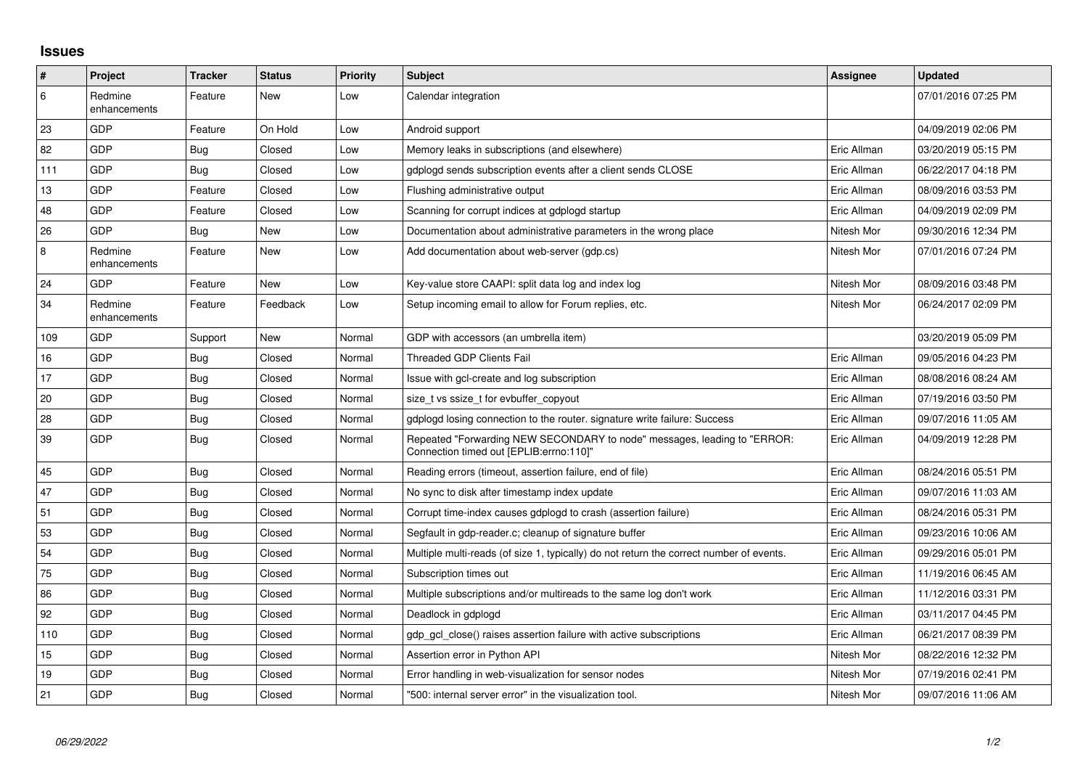## **Issues**

| $\vert$ # | Project                 | <b>Tracker</b> | <b>Status</b> | <b>Priority</b> | <b>Subject</b>                                                                                                      | Assignee    | <b>Updated</b>      |
|-----------|-------------------------|----------------|---------------|-----------------|---------------------------------------------------------------------------------------------------------------------|-------------|---------------------|
| 6         | Redmine<br>enhancements | Feature        | New           | Low             | Calendar integration                                                                                                |             | 07/01/2016 07:25 PM |
| 23        | GDP                     | Feature        | On Hold       | Low             | Android support                                                                                                     |             | 04/09/2019 02:06 PM |
| 82        | GDP                     | <b>Bug</b>     | Closed        | Low             | Memory leaks in subscriptions (and elsewhere)                                                                       | Eric Allman | 03/20/2019 05:15 PM |
| 111       | GDP                     | <b>Bug</b>     | Closed        | Low             | gdplogd sends subscription events after a client sends CLOSE                                                        | Eric Allman | 06/22/2017 04:18 PM |
| 13        | GDP                     | Feature        | Closed        | Low             | Flushing administrative output                                                                                      | Eric Allman | 08/09/2016 03:53 PM |
| 48        | GDP                     | Feature        | Closed        | Low             | Scanning for corrupt indices at gdplogd startup                                                                     | Eric Allman | 04/09/2019 02:09 PM |
| 26        | GDP                     | <b>Bug</b>     | New           | Low             | Documentation about administrative parameters in the wrong place                                                    | Nitesh Mor  | 09/30/2016 12:34 PM |
| 8         | Redmine<br>enhancements | Feature        | <b>New</b>    | Low             | Add documentation about web-server (gdp.cs)                                                                         | Nitesh Mor  | 07/01/2016 07:24 PM |
| 24        | GDP                     | Feature        | <b>New</b>    | Low             | Key-value store CAAPI: split data log and index log                                                                 | Nitesh Mor  | 08/09/2016 03:48 PM |
| 34        | Redmine<br>enhancements | Feature        | Feedback      | Low             | Setup incoming email to allow for Forum replies, etc.                                                               | Nitesh Mor  | 06/24/2017 02:09 PM |
| 109       | GDP                     | Support        | <b>New</b>    | Normal          | GDP with accessors (an umbrella item)                                                                               |             | 03/20/2019 05:09 PM |
| 16        | GDP                     | Bug            | Closed        | Normal          | <b>Threaded GDP Clients Fail</b>                                                                                    | Eric Allman | 09/05/2016 04:23 PM |
| 17        | GDP                     | <b>Bug</b>     | Closed        | Normal          | Issue with gcl-create and log subscription                                                                          | Eric Allman | 08/08/2016 08:24 AM |
| 20        | GDP                     | <b>Bug</b>     | Closed        | Normal          | size t vs ssize t for evbuffer copyout                                                                              | Eric Allman | 07/19/2016 03:50 PM |
| 28        | GDP                     | <b>Bug</b>     | Closed        | Normal          | gdplogd losing connection to the router, signature write failure: Success                                           | Eric Allman | 09/07/2016 11:05 AM |
| 39        | <b>GDP</b>              | <b>Bug</b>     | Closed        | Normal          | Repeated "Forwarding NEW SECONDARY to node" messages, leading to "ERROR:<br>Connection timed out [EPLIB:errno:110]" | Eric Allman | 04/09/2019 12:28 PM |
| 45        | GDP                     | <b>Bug</b>     | Closed        | Normal          | Reading errors (timeout, assertion failure, end of file)                                                            | Eric Allman | 08/24/2016 05:51 PM |
| 47        | GDP                     | <b>Bug</b>     | Closed        | Normal          | No sync to disk after timestamp index update                                                                        | Eric Allman | 09/07/2016 11:03 AM |
| 51        | GDP                     | Bug            | Closed        | Normal          | Corrupt time-index causes gdplogd to crash (assertion failure)                                                      | Eric Allman | 08/24/2016 05:31 PM |
| 53        | GDP                     | Bug            | Closed        | Normal          | Segfault in gdp-reader.c; cleanup of signature buffer                                                               | Eric Allman | 09/23/2016 10:06 AM |
| 54        | GDP                     | <b>Bug</b>     | Closed        | Normal          | Multiple multi-reads (of size 1, typically) do not return the correct number of events.                             | Eric Allman | 09/29/2016 05:01 PM |
| 75        | GDP                     | <b>Bug</b>     | Closed        | Normal          | Subscription times out                                                                                              | Eric Allman | 11/19/2016 06:45 AM |
| 86        | GDP                     | <b>Bug</b>     | Closed        | Normal          | Multiple subscriptions and/or multireads to the same log don't work                                                 | Eric Allman | 11/12/2016 03:31 PM |
| 92        | GDP                     | <b>Bug</b>     | Closed        | Normal          | Deadlock in gdplogd                                                                                                 | Eric Allman | 03/11/2017 04:45 PM |
| 110       | GDP                     | Bug            | Closed        | Normal          | gdp gcl close() raises assertion failure with active subscriptions                                                  | Eric Allman | 06/21/2017 08:39 PM |
| 15        | GDP                     | <b>Bug</b>     | Closed        | Normal          | Assertion error in Python API                                                                                       | Nitesh Mor  | 08/22/2016 12:32 PM |
| 19        | <b>GDP</b>              | Bug            | Closed        | Normal          | Error handling in web-visualization for sensor nodes                                                                | Nitesh Mor  | 07/19/2016 02:41 PM |
| 21        | GDP                     | Bug            | Closed        | Normal          | "500: internal server error" in the visualization tool.                                                             | Nitesh Mor  | 09/07/2016 11:06 AM |